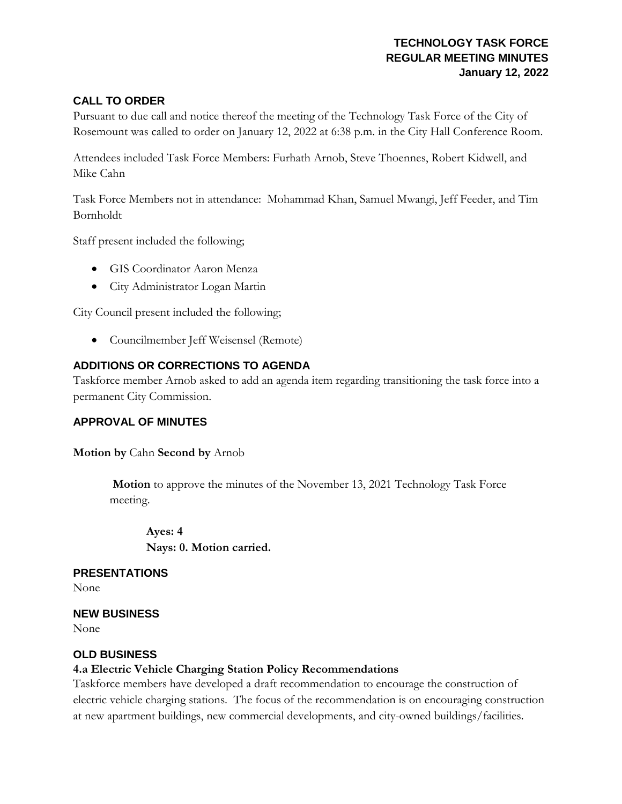## **TECHNOLOGY TASK FORCE REGULAR MEETING MINUTES January 12, 2022**

#### **CALL TO ORDER**

Pursuant to due call and notice thereof the meeting of the Technology Task Force of the City of Rosemount was called to order on January 12, 2022 at 6:38 p.m. in the City Hall Conference Room.

Attendees included Task Force Members: Furhath Arnob, Steve Thoennes, Robert Kidwell, and Mike Cahn

Task Force Members not in attendance: Mohammad Khan, Samuel Mwangi, Jeff Feeder, and Tim Bornholdt

Staff present included the following;

- GIS Coordinator Aaron Menza
- City Administrator Logan Martin

City Council present included the following;

• Councilmember Jeff Weisensel (Remote)

#### **ADDITIONS OR CORRECTIONS TO AGENDA**

Taskforce member Arnob asked to add an agenda item regarding transitioning the task force into a permanent City Commission.

#### **APPROVAL OF MINUTES**

**Motion by** Cahn **Second by** Arnob

**Motion** to approve the minutes of the November 13, 2021 Technology Task Force meeting.

**Ayes: 4 Nays: 0. Motion carried.**

**PRESENTATIONS**

None

**NEW BUSINESS**

None

#### **OLD BUSINESS**

#### **4.a Electric Vehicle Charging Station Policy Recommendations**

Taskforce members have developed a draft recommendation to encourage the construction of electric vehicle charging stations. The focus of the recommendation is on encouraging construction at new apartment buildings, new commercial developments, and city-owned buildings/facilities.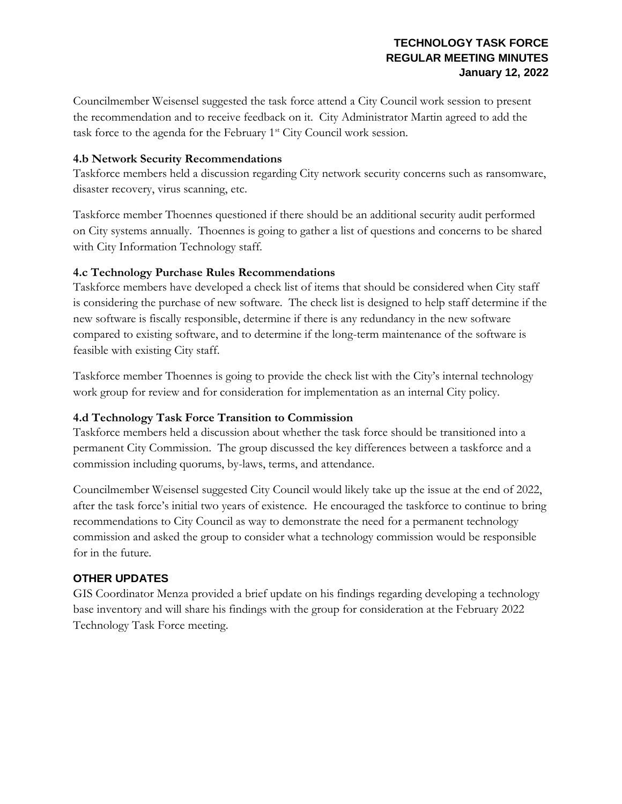Councilmember Weisensel suggested the task force attend a City Council work session to present the recommendation and to receive feedback on it. City Administrator Martin agreed to add the task force to the agenda for the February  $1<sup>st</sup>$  City Council work session.

### **4.b Network Security Recommendations**

Taskforce members held a discussion regarding City network security concerns such as ransomware, disaster recovery, virus scanning, etc.

Taskforce member Thoennes questioned if there should be an additional security audit performed on City systems annually. Thoennes is going to gather a list of questions and concerns to be shared with City Information Technology staff.

## **4.c Technology Purchase Rules Recommendations**

Taskforce members have developed a check list of items that should be considered when City staff is considering the purchase of new software. The check list is designed to help staff determine if the new software is fiscally responsible, determine if there is any redundancy in the new software compared to existing software, and to determine if the long-term maintenance of the software is feasible with existing City staff.

Taskforce member Thoennes is going to provide the check list with the City's internal technology work group for review and for consideration for implementation as an internal City policy.

## **4.d Technology Task Force Transition to Commission**

Taskforce members held a discussion about whether the task force should be transitioned into a permanent City Commission. The group discussed the key differences between a taskforce and a commission including quorums, by-laws, terms, and attendance.

Councilmember Weisensel suggested City Council would likely take up the issue at the end of 2022, after the task force's initial two years of existence. He encouraged the taskforce to continue to bring recommendations to City Council as way to demonstrate the need for a permanent technology commission and asked the group to consider what a technology commission would be responsible for in the future.

# **OTHER UPDATES**

GIS Coordinator Menza provided a brief update on his findings regarding developing a technology base inventory and will share his findings with the group for consideration at the February 2022 Technology Task Force meeting.